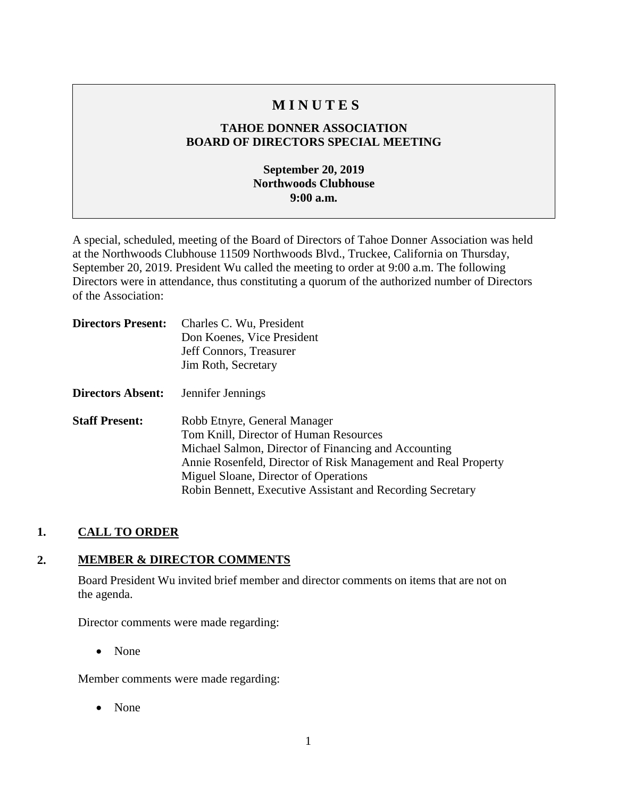# **M I N U T E S**

## **TAHOE DONNER ASSOCIATION BOARD OF DIRECTORS SPECIAL MEETING**

### **September 20, 2019 Northwoods Clubhouse 9:00 a.m.**

A special, scheduled, meeting of the Board of Directors of Tahoe Donner Association was held at the Northwoods Clubhouse 11509 Northwoods Blvd., Truckee, California on Thursday, September 20, 2019. President Wu called the meeting to order at 9:00 a.m. The following Directors were in attendance, thus constituting a quorum of the authorized number of Directors of the Association:

| <b>Directors Present:</b> | Charles C. Wu, President                                       |
|---------------------------|----------------------------------------------------------------|
|                           | Don Koenes, Vice President                                     |
|                           | Jeff Connors, Treasurer                                        |
|                           | Jim Roth, Secretary                                            |
| <b>Directors Absent:</b>  | Jennifer Jennings                                              |
| <b>Staff Present:</b>     | Robb Etnyre, General Manager                                   |
|                           | Tom Knill, Director of Human Resources                         |
|                           | Michael Salmon, Director of Financing and Accounting           |
|                           | Annie Rosenfeld, Director of Risk Management and Real Property |
|                           | Miguel Sloane, Director of Operations                          |
|                           | Robin Bennett, Executive Assistant and Recording Secretary     |

### **1. CALL TO ORDER**

### **2. MEMBER & DIRECTOR COMMENTS**

Board President Wu invited brief member and director comments on items that are not on the agenda.

Director comments were made regarding:

• None

Member comments were made regarding:

• None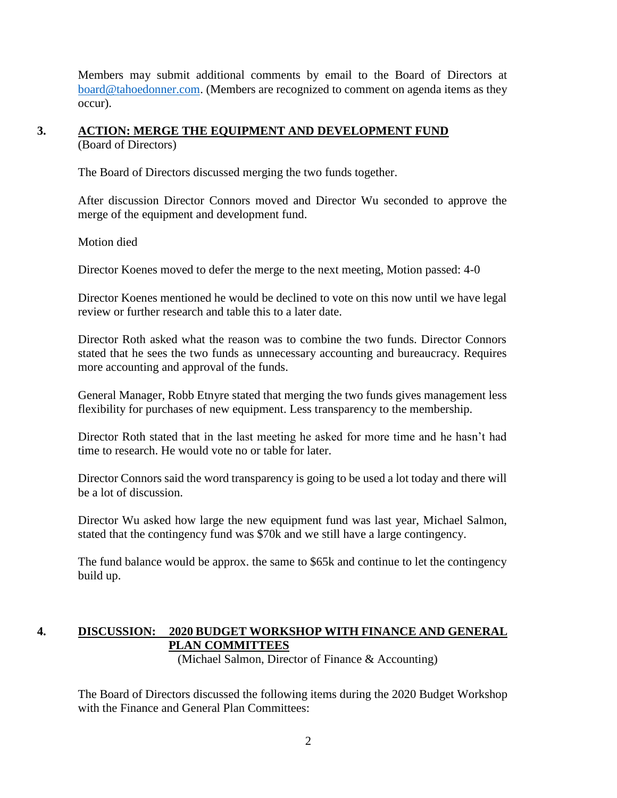Members may submit additional comments by email to the Board of Directors at [board@tahoedonner.com.](mailto:board@tahoedonner.com) (Members are recognized to comment on agenda items as they occur).

### **3. ACTION: MERGE THE EQUIPMENT AND DEVELOPMENT FUND** (Board of Directors)

The Board of Directors discussed merging the two funds together.

After discussion Director Connors moved and Director Wu seconded to approve the merge of the equipment and development fund.

Motion died

Director Koenes moved to defer the merge to the next meeting, Motion passed: 4-0

Director Koenes mentioned he would be declined to vote on this now until we have legal review or further research and table this to a later date.

Director Roth asked what the reason was to combine the two funds. Director Connors stated that he sees the two funds as unnecessary accounting and bureaucracy. Requires more accounting and approval of the funds.

General Manager, Robb Etnyre stated that merging the two funds gives management less flexibility for purchases of new equipment. Less transparency to the membership.

Director Roth stated that in the last meeting he asked for more time and he hasn't had time to research. He would vote no or table for later.

Director Connors said the word transparency is going to be used a lot today and there will be a lot of discussion.

Director Wu asked how large the new equipment fund was last year, Michael Salmon, stated that the contingency fund was \$70k and we still have a large contingency.

The fund balance would be approx. the same to \$65k and continue to let the contingency build up.

## **4. DISCUSSION: 2020 BUDGET WORKSHOP WITH FINANCE AND GENERAL PLAN COMMITTEES**

(Michael Salmon, Director of Finance & Accounting)

The Board of Directors discussed the following items during the 2020 Budget Workshop with the Finance and General Plan Committees: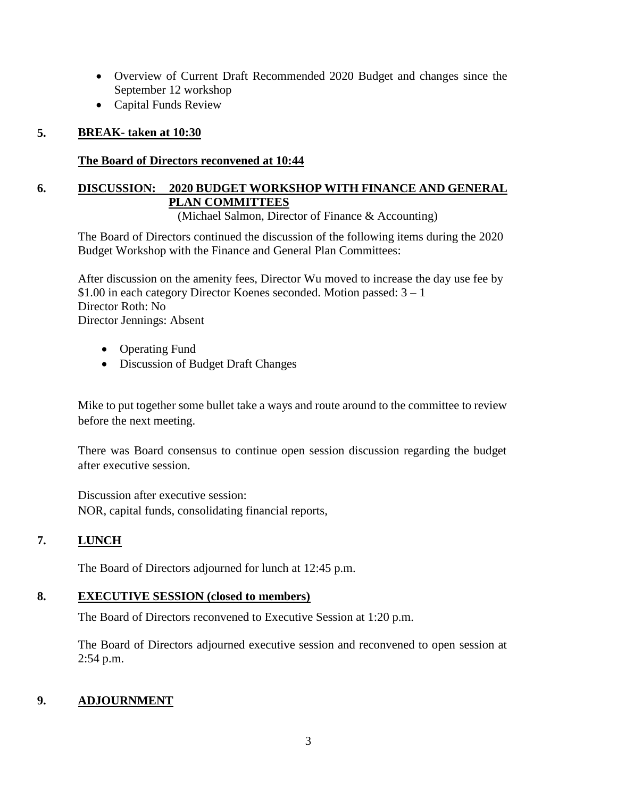- Overview of Current Draft Recommended 2020 Budget and changes since the September 12 workshop
- Capital Funds Review

## **5. BREAK- taken at 10:30**

## **The Board of Directors reconvened at 10:44**

## **6. DISCUSSION: 2020 BUDGET WORKSHOP WITH FINANCE AND GENERAL PLAN COMMITTEES**

(Michael Salmon, Director of Finance & Accounting)

The Board of Directors continued the discussion of the following items during the 2020 Budget Workshop with the Finance and General Plan Committees:

After discussion on the amenity fees, Director Wu moved to increase the day use fee by  $$1.00$  in each category Director Koenes seconded. Motion passed:  $3 - 1$ Director Roth: No Director Jennings: Absent

- Operating Fund
- Discussion of Budget Draft Changes

Mike to put together some bullet take a ways and route around to the committee to review before the next meeting.

There was Board consensus to continue open session discussion regarding the budget after executive session.

Discussion after executive session: NOR, capital funds, consolidating financial reports,

## **7. LUNCH**

The Board of Directors adjourned for lunch at 12:45 p.m.

### **8. EXECUTIVE SESSION (closed to members)**

The Board of Directors reconvened to Executive Session at 1:20 p.m.

The Board of Directors adjourned executive session and reconvened to open session at 2:54 p.m.

## **9. ADJOURNMENT**